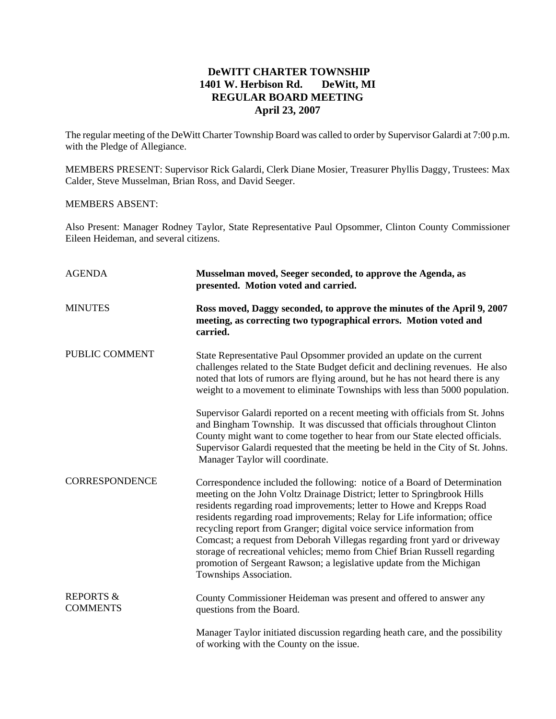## **DeWITT CHARTER TOWNSHIP 1401 W. Herbison Rd. DeWitt, MI REGULAR BOARD MEETING April 23, 2007**

The regular meeting of the DeWitt Charter Township Board was called to order by Supervisor Galardi at 7:00 p.m. with the Pledge of Allegiance.

MEMBERS PRESENT: Supervisor Rick Galardi, Clerk Diane Mosier, Treasurer Phyllis Daggy, Trustees: Max Calder, Steve Musselman, Brian Ross, and David Seeger.

## MEMBERS ABSENT:

Also Present: Manager Rodney Taylor, State Representative Paul Opsommer, Clinton County Commissioner Eileen Heideman, and several citizens.

| <b>AGENDA</b>                           | Musselman moved, Seeger seconded, to approve the Agenda, as<br>presented. Motion voted and carried.                                                                                                                                                                                                                                                                                                                                                                                                                                                                                                                                              |
|-----------------------------------------|--------------------------------------------------------------------------------------------------------------------------------------------------------------------------------------------------------------------------------------------------------------------------------------------------------------------------------------------------------------------------------------------------------------------------------------------------------------------------------------------------------------------------------------------------------------------------------------------------------------------------------------------------|
| <b>MINUTES</b>                          | Ross moved, Daggy seconded, to approve the minutes of the April 9, 2007<br>meeting, as correcting two typographical errors. Motion voted and<br>carried.                                                                                                                                                                                                                                                                                                                                                                                                                                                                                         |
| PUBLIC COMMENT                          | State Representative Paul Opsommer provided an update on the current<br>challenges related to the State Budget deficit and declining revenues. He also<br>noted that lots of rumors are flying around, but he has not heard there is any<br>weight to a movement to eliminate Townships with less than 5000 population.                                                                                                                                                                                                                                                                                                                          |
|                                         | Supervisor Galardi reported on a recent meeting with officials from St. Johns<br>and Bingham Township. It was discussed that officials throughout Clinton<br>County might want to come together to hear from our State elected officials.<br>Supervisor Galardi requested that the meeting be held in the City of St. Johns.<br>Manager Taylor will coordinate.                                                                                                                                                                                                                                                                                  |
| <b>CORRESPONDENCE</b>                   | Correspondence included the following: notice of a Board of Determination<br>meeting on the John Voltz Drainage District; letter to Springbrook Hills<br>residents regarding road improvements; letter to Howe and Krepps Road<br>residents regarding road improvements; Relay for Life information; office<br>recycling report from Granger; digital voice service information from<br>Comcast; a request from Deborah Villegas regarding front yard or driveway<br>storage of recreational vehicles; memo from Chief Brian Russell regarding<br>promotion of Sergeant Rawson; a legislative update from the Michigan<br>Townships Association. |
| <b>REPORTS &amp;</b><br><b>COMMENTS</b> | County Commissioner Heideman was present and offered to answer any<br>questions from the Board.                                                                                                                                                                                                                                                                                                                                                                                                                                                                                                                                                  |
|                                         | Manager Taylor initiated discussion regarding heath care, and the possibility<br>of working with the County on the issue.                                                                                                                                                                                                                                                                                                                                                                                                                                                                                                                        |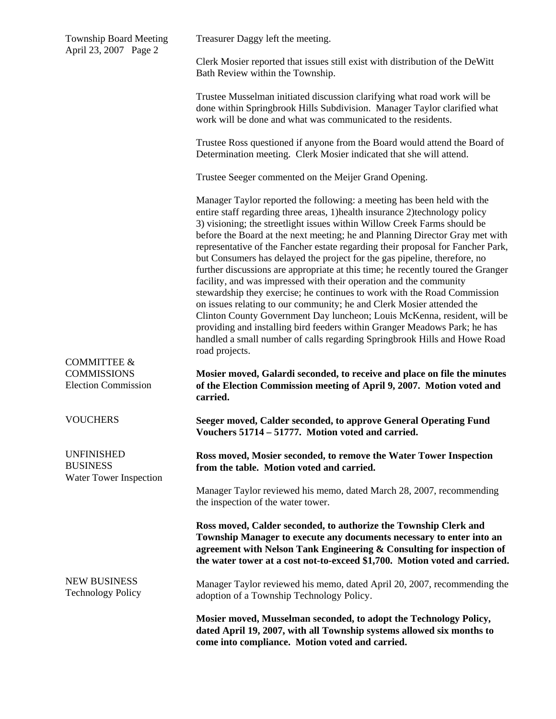| <b>Township Board Meeting</b><br>April 23, 2007 Page 2                     | Treasurer Daggy left the meeting.                                                                                                                                                                                                                                                                                                                                                                                                                                                                                                                                                                                                                                                                                                                                                                                                                                                                                                                                                                                                                          |
|----------------------------------------------------------------------------|------------------------------------------------------------------------------------------------------------------------------------------------------------------------------------------------------------------------------------------------------------------------------------------------------------------------------------------------------------------------------------------------------------------------------------------------------------------------------------------------------------------------------------------------------------------------------------------------------------------------------------------------------------------------------------------------------------------------------------------------------------------------------------------------------------------------------------------------------------------------------------------------------------------------------------------------------------------------------------------------------------------------------------------------------------|
|                                                                            | Clerk Mosier reported that issues still exist with distribution of the DeWitt<br>Bath Review within the Township.                                                                                                                                                                                                                                                                                                                                                                                                                                                                                                                                                                                                                                                                                                                                                                                                                                                                                                                                          |
|                                                                            | Trustee Musselman initiated discussion clarifying what road work will be<br>done within Springbrook Hills Subdivision. Manager Taylor clarified what<br>work will be done and what was communicated to the residents.                                                                                                                                                                                                                                                                                                                                                                                                                                                                                                                                                                                                                                                                                                                                                                                                                                      |
|                                                                            | Trustee Ross questioned if anyone from the Board would attend the Board of<br>Determination meeting. Clerk Mosier indicated that she will attend.                                                                                                                                                                                                                                                                                                                                                                                                                                                                                                                                                                                                                                                                                                                                                                                                                                                                                                          |
|                                                                            | Trustee Seeger commented on the Meijer Grand Opening.                                                                                                                                                                                                                                                                                                                                                                                                                                                                                                                                                                                                                                                                                                                                                                                                                                                                                                                                                                                                      |
|                                                                            | Manager Taylor reported the following: a meeting has been held with the<br>entire staff regarding three areas, 1) health insurance 2) technology policy<br>3) visioning; the streetlight issues within Willow Creek Farms should be<br>before the Board at the next meeting; he and Planning Director Gray met with<br>representative of the Fancher estate regarding their proposal for Fancher Park,<br>but Consumers has delayed the project for the gas pipeline, therefore, no<br>further discussions are appropriate at this time; he recently toured the Granger<br>facility, and was impressed with their operation and the community<br>stewardship they exercise; he continues to work with the Road Commission<br>on issues relating to our community; he and Clerk Mosier attended the<br>Clinton County Government Day luncheon; Louis McKenna, resident, will be<br>providing and installing bird feeders within Granger Meadows Park; he has<br>handled a small number of calls regarding Springbrook Hills and Howe Road<br>road projects. |
| <b>COMMITTEE &amp;</b><br><b>COMMISSIONS</b><br><b>Election Commission</b> | Mosier moved, Galardi seconded, to receive and place on file the minutes<br>of the Election Commission meeting of April 9, 2007. Motion voted and<br>carried.                                                                                                                                                                                                                                                                                                                                                                                                                                                                                                                                                                                                                                                                                                                                                                                                                                                                                              |
| <b>VOUCHERS</b>                                                            | Seeger moved, Calder seconded, to approve General Operating Fund<br>Vouchers 51714 - 51777. Motion voted and carried.                                                                                                                                                                                                                                                                                                                                                                                                                                                                                                                                                                                                                                                                                                                                                                                                                                                                                                                                      |
| <b>UNFINISHED</b><br><b>BUSINESS</b><br>Water Tower Inspection             | Ross moved, Mosier seconded, to remove the Water Tower Inspection<br>from the table. Motion voted and carried.                                                                                                                                                                                                                                                                                                                                                                                                                                                                                                                                                                                                                                                                                                                                                                                                                                                                                                                                             |
|                                                                            | Manager Taylor reviewed his memo, dated March 28, 2007, recommending<br>the inspection of the water tower.                                                                                                                                                                                                                                                                                                                                                                                                                                                                                                                                                                                                                                                                                                                                                                                                                                                                                                                                                 |
|                                                                            | Ross moved, Calder seconded, to authorize the Township Clerk and<br>Township Manager to execute any documents necessary to enter into an<br>agreement with Nelson Tank Engineering & Consulting for inspection of<br>the water tower at a cost not-to-exceed \$1,700. Motion voted and carried.                                                                                                                                                                                                                                                                                                                                                                                                                                                                                                                                                                                                                                                                                                                                                            |
| <b>NEW BUSINESS</b><br><b>Technology Policy</b>                            | Manager Taylor reviewed his memo, dated April 20, 2007, recommending the<br>adoption of a Township Technology Policy.                                                                                                                                                                                                                                                                                                                                                                                                                                                                                                                                                                                                                                                                                                                                                                                                                                                                                                                                      |
|                                                                            | Mosier moved, Musselman seconded, to adopt the Technology Policy,<br>dated April 19, 2007, with all Township systems allowed six months to<br>come into compliance. Motion voted and carried.                                                                                                                                                                                                                                                                                                                                                                                                                                                                                                                                                                                                                                                                                                                                                                                                                                                              |